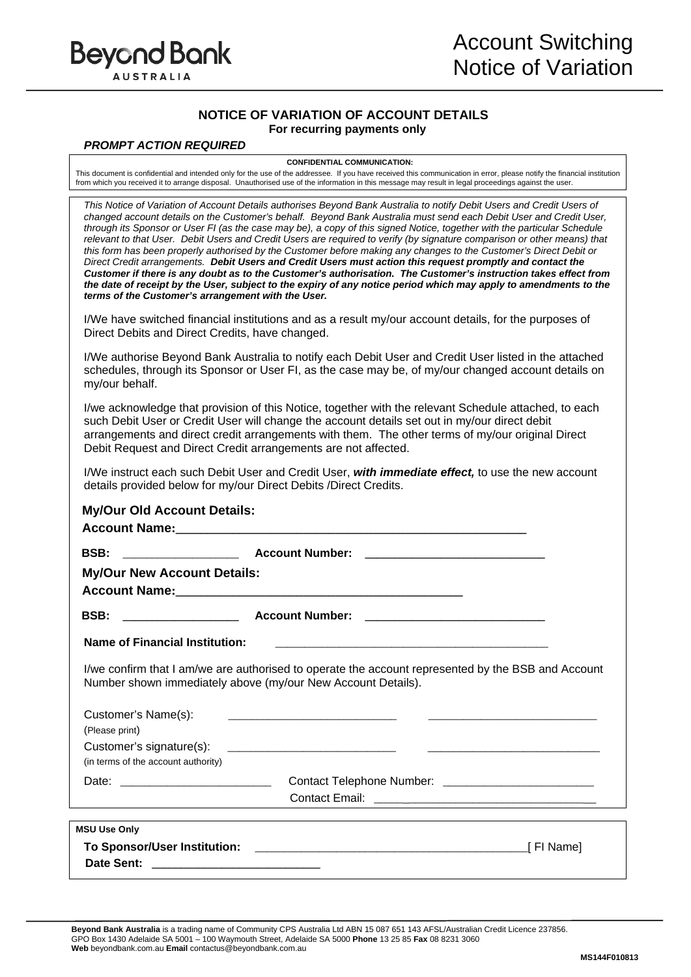

## **NOTICE OF VARIATION OF ACCOUNT DETAILS For recurring payments only**

## *PROMPT ACTION REQUIRED*

**CONFIDENTIAL COMMUNICATION:** 

This document is confidential and intended only for the use of the addressee. If you have received this communication in error, please notify the financial institution from which you received it to arrange disposal. Unauthorised use of the information in this message may result in legal proceedings against the user.

*This Notice of Variation of Account Details authorises Beyond Bank Australia to notify Debit Users and Credit Users of changed account details on the Customer's behalf. Beyond Bank Australia must send each Debit User and Credit User, through its Sponsor or User FI (as the case may be), a copy of this signed Notice, together with the particular Schedule relevant to that User. Debit Users and Credit Users are required to verify (by signature comparison or other means) that this form has been properly authorised by the Customer before making any changes to the Customer's Direct Debit or Direct Credit arrangements. Debit Users and Credit Users must action this request promptly and contact the Customer if there is any doubt as to the Customer's authorisation. The Customer's instruction takes effect from the date of receipt by the User, subject to the expiry of any notice period which may apply to amendments to the terms of the Customer's arrangement with the User.* 

I/We have switched financial institutions and as a result my/our account details, for the purposes of Direct Debits and Direct Credits, have changed.

I/We authorise Beyond Bank Australia to notify each Debit User and Credit User listed in the attached schedules, through its Sponsor or User FI, as the case may be, of my/our changed account details on my/our behalf.

I/we acknowledge that provision of this Notice, together with the relevant Schedule attached, to each such Debit User or Credit User will change the account details set out in my/our direct debit arrangements and direct credit arrangements with them. The other terms of my/our original Direct Debit Request and Direct Credit arrangements are not affected.

I/We instruct each such Debit User and Credit User, *with immediate effect,* to use the new account details provided below for my/our Direct Debits /Direct Credits.

| <b>My/Our New Account Details:</b>                                                                                                                                                                                            |                                                                                                    |                                                                                                                       |  |  |
|-------------------------------------------------------------------------------------------------------------------------------------------------------------------------------------------------------------------------------|----------------------------------------------------------------------------------------------------|-----------------------------------------------------------------------------------------------------------------------|--|--|
| <b>BSB:</b>                                                                                                                                                                                                                   |                                                                                                    |                                                                                                                       |  |  |
| Name of Financial Institution:                                                                                                                                                                                                |                                                                                                    |                                                                                                                       |  |  |
|                                                                                                                                                                                                                               | I/we confirm that I am/we are authorised to operate the account represented by the BSB and Account |                                                                                                                       |  |  |
| Customer's Name(s):                                                                                                                                                                                                           | Number shown immediately above (my/our New Account Details).                                       | <u> 1989 - Johann Stoff, deutscher Stoff, der Stoff, der Stoff, der Stoff, der Stoff, der Stoff, der Stoff, der S</u> |  |  |
| (Please print)                                                                                                                                                                                                                |                                                                                                    |                                                                                                                       |  |  |
| (in terms of the account authority)                                                                                                                                                                                           |                                                                                                    |                                                                                                                       |  |  |
|                                                                                                                                                                                                                               |                                                                                                    |                                                                                                                       |  |  |
| the control of the control of the control of the control of the control of the control of the control of the control of the control of the control of the control of the control of the control of the control of the control |                                                                                                    |                                                                                                                       |  |  |
| <b>MSU Use Only</b>                                                                                                                                                                                                           |                                                                                                    |                                                                                                                       |  |  |